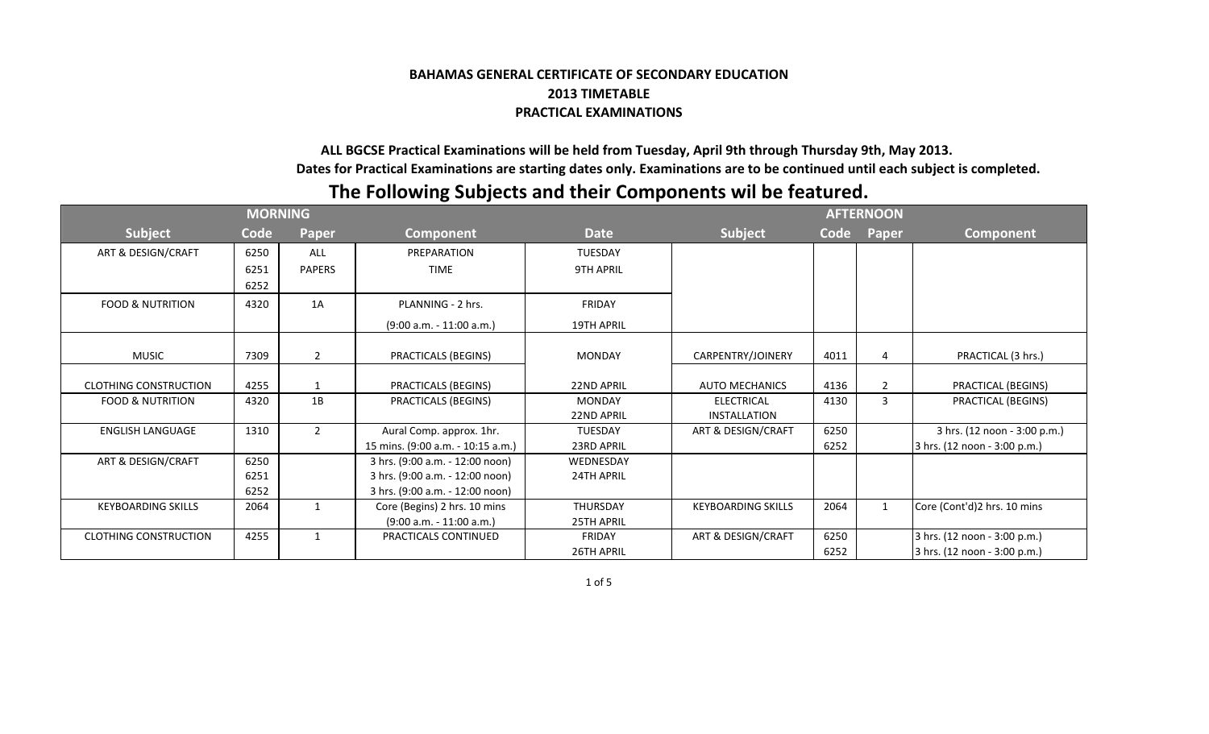## **BAHAMAS GENERAL CERTIFICATE OF SECONDARY EDUCATION 2013 TIMETABLE PRACTICAL EXAMINATIONS**

 **ALL BGCSE Practical Examinations will be held from Tuesday, April 9th through Thursday 9th, May 2013. Dates for Practical Examinations are starting dates only. Examinations are to be continued until each subject is completed.**

## **The Following Subjects and their Components wil be featured.**

|                              |      | <b>AFTERNOON</b> |                                   |                   |                           |      |              |                              |
|------------------------------|------|------------------|-----------------------------------|-------------------|---------------------------|------|--------------|------------------------------|
| <b>Subject</b>               | Code | Paper            | Component                         | <b>Date</b>       | <b>Subject</b>            | Code | Paper        | <b>Component</b>             |
| ART & DESIGN/CRAFT           | 6250 | <b>ALL</b>       | PREPARATION                       | <b>TUESDAY</b>    |                           |      |              |                              |
|                              | 6251 | <b>PAPERS</b>    | <b>TIME</b>                       | <b>9TH APRIL</b>  |                           |      |              |                              |
|                              | 6252 |                  |                                   |                   |                           |      |              |                              |
| <b>FOOD &amp; NUTRITION</b>  | 4320 | 1A               | PLANNING - 2 hrs.                 | FRIDAY            |                           |      |              |                              |
|                              |      |                  | $(9:00 a.m. - 11:00 a.m.)$        | 19TH APRIL        |                           |      |              |                              |
|                              |      |                  |                                   |                   |                           |      |              |                              |
| <b>MUSIC</b>                 | 7309 | $\overline{2}$   | PRACTICALS (BEGINS)               | <b>MONDAY</b>     | CARPENTRY/JOINERY         | 4011 | 4            | PRACTICAL (3 hrs.)           |
| <b>CLOTHING CONSTRUCTION</b> | 4255 | 1                | PRACTICALS (BEGINS)               | <b>22ND APRIL</b> | <b>AUTO MECHANICS</b>     | 4136 | 2            | PRACTICAL (BEGINS)           |
| <b>FOOD &amp; NUTRITION</b>  | 4320 | 1B               | PRACTICALS (BEGINS)               | <b>MONDAY</b>     | <b>ELECTRICAL</b>         | 4130 | 3            | PRACTICAL (BEGINS)           |
|                              |      |                  |                                   | <b>22ND APRIL</b> | <b>INSTALLATION</b>       |      |              |                              |
| <b>ENGLISH LANGUAGE</b>      | 1310 | $\overline{2}$   | Aural Comp. approx. 1hr.          | <b>TUESDAY</b>    | ART & DESIGN/CRAFT        | 6250 |              | 3 hrs. (12 noon - 3:00 p.m.) |
|                              |      |                  | 15 mins. (9:00 a.m. - 10:15 a.m.) | 23RD APRIL        |                           | 6252 |              | 3 hrs. (12 noon - 3:00 p.m.) |
| ART & DESIGN/CRAFT           | 6250 |                  | 3 hrs. (9:00 a.m. - 12:00 noon)   | WEDNESDAY         |                           |      |              |                              |
|                              | 6251 |                  | 3 hrs. (9:00 a.m. - 12:00 noon)   | 24TH APRIL        |                           |      |              |                              |
|                              | 6252 |                  | 3 hrs. (9:00 a.m. - 12:00 noon)   |                   |                           |      |              |                              |
| <b>KEYBOARDING SKILLS</b>    | 2064 | 1                | Core (Begins) 2 hrs. 10 mins      | <b>THURSDAY</b>   | <b>KEYBOARDING SKILLS</b> | 2064 | $\mathbf{1}$ | Core (Cont'd)2 hrs. 10 mins  |
|                              |      |                  | $(9:00 a.m. - 11:00 a.m.)$        | <b>25TH APRIL</b> |                           |      |              |                              |
| <b>CLOTHING CONSTRUCTION</b> | 4255 | $\mathbf{1}$     | PRACTICALS CONTINUED              | <b>FRIDAY</b>     | ART & DESIGN/CRAFT        | 6250 |              | 3 hrs. (12 noon - 3:00 p.m.) |
|                              |      |                  |                                   | 26TH APRIL        |                           | 6252 |              | 3 hrs. (12 noon - 3:00 p.m.) |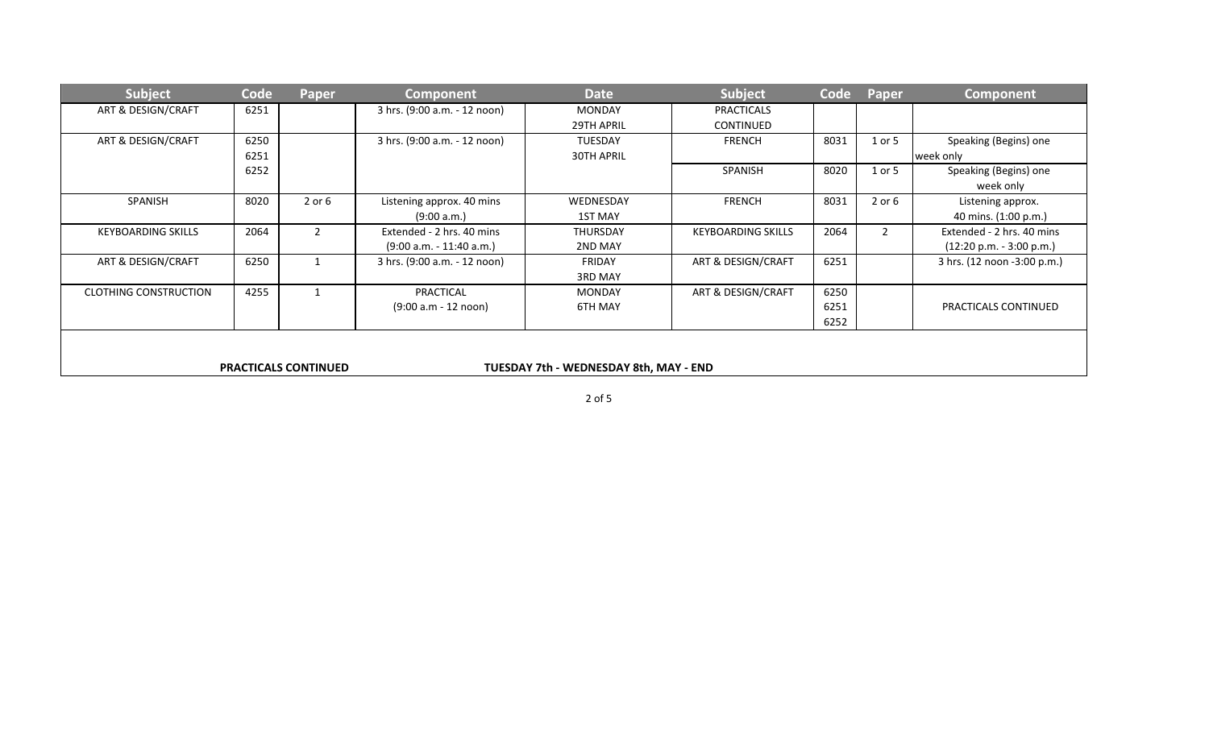| <b>Subject</b>                                                        | Code | Paper          | <b>Component</b>             | <b>Date</b>       | Subject                   | Code | Paper          | Component                   |
|-----------------------------------------------------------------------|------|----------------|------------------------------|-------------------|---------------------------|------|----------------|-----------------------------|
| ART & DESIGN/CRAFT                                                    | 6251 |                | 3 hrs. (9:00 a.m. - 12 noon) | <b>MONDAY</b>     | <b>PRACTICALS</b>         |      |                |                             |
|                                                                       |      |                |                              | 29TH APRIL        | <b>CONTINUED</b>          |      |                |                             |
| ART & DESIGN/CRAFT                                                    | 6250 |                | 3 hrs. (9:00 a.m. - 12 noon) | <b>TUESDAY</b>    | <b>FRENCH</b>             | 8031 | 1 or 5         | Speaking (Begins) one       |
|                                                                       | 6251 |                |                              | <b>30TH APRIL</b> |                           |      |                | week only                   |
|                                                                       | 6252 |                |                              |                   | SPANISH                   | 8020 | 1 or 5         | Speaking (Begins) one       |
|                                                                       |      |                |                              |                   |                           |      |                | week only                   |
| SPANISH                                                               | 8020 | $2$ or $6$     | Listening approx. 40 mins    | WEDNESDAY         | <b>FRENCH</b>             | 8031 | $2$ or $6$     | Listening approx.           |
|                                                                       |      |                | (9:00 a.m.)                  | <b>1ST MAY</b>    |                           |      |                | 40 mins. (1:00 p.m.)        |
| <b>KEYBOARDING SKILLS</b>                                             | 2064 | $\overline{2}$ | Extended - 2 hrs. 40 mins    | THURSDAY          | <b>KEYBOARDING SKILLS</b> | 2064 | $\overline{2}$ | Extended - 2 hrs. 40 mins   |
|                                                                       |      |                | $(9:00 a.m. - 11:40 a.m.)$   | 2ND MAY           |                           |      |                | $(12:20 p.m. - 3:00 p.m.)$  |
| ART & DESIGN/CRAFT                                                    | 6250 |                | 3 hrs. (9:00 a.m. - 12 noon) | FRIDAY            | ART & DESIGN/CRAFT        | 6251 |                | 3 hrs. (12 noon -3:00 p.m.) |
|                                                                       |      |                |                              | <b>3RD MAY</b>    |                           |      |                |                             |
| <b>CLOTHING CONSTRUCTION</b>                                          | 4255 |                | PRACTICAL                    | <b>MONDAY</b>     | ART & DESIGN/CRAFT        | 6250 |                |                             |
|                                                                       |      |                | (9:00 a.m - 12 noon)         | 6TH MAY           |                           | 6251 |                | PRACTICALS CONTINUED        |
|                                                                       |      |                |                              |                   |                           | 6252 |                |                             |
|                                                                       |      |                |                              |                   |                           |      |                |                             |
|                                                                       |      |                |                              |                   |                           |      |                |                             |
| <b>PRACTICALS CONTINUED</b><br>TUESDAY 7th - WEDNESDAY 8th, MAY - END |      |                |                              |                   |                           |      |                |                             |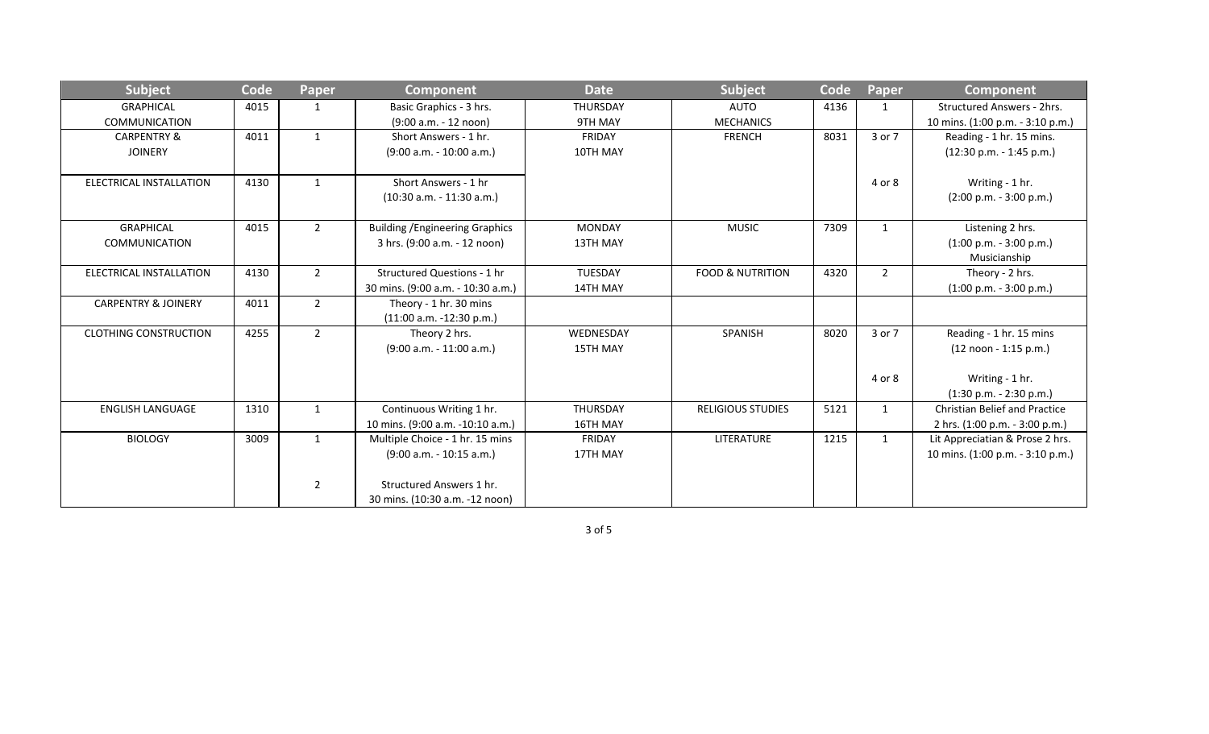| <b>Subject</b>                 | Code | <b>Paper</b>   | <b>Component</b>                       | <b>Date</b>     | Subject                     | Code | Paper          | <b>Component</b>                     |
|--------------------------------|------|----------------|----------------------------------------|-----------------|-----------------------------|------|----------------|--------------------------------------|
| <b>GRAPHICAL</b>               | 4015 | $\mathbf{1}$   | Basic Graphics - 3 hrs.                | <b>THURSDAY</b> | <b>AUTO</b>                 | 4136 | $\mathbf{1}$   | <b>Structured Answers - 2hrs.</b>    |
| <b>COMMUNICATION</b>           |      |                | (9:00 a.m. - 12 noon)                  | 9TH MAY         | <b>MECHANICS</b>            |      |                | 10 mins. (1:00 p.m. - 3:10 p.m.)     |
| <b>CARPENTRY &amp;</b>         | 4011 | $\mathbf{1}$   | Short Answers - 1 hr.                  | <b>FRIDAY</b>   | <b>FRENCH</b>               | 8031 | 3 or 7         | Reading - 1 hr. 15 mins.             |
| <b>JOINERY</b>                 |      |                | $(9:00 a.m. - 10:00 a.m.)$             | 10TH MAY        |                             |      |                | $(12:30 p.m. - 1:45 p.m.)$           |
|                                |      |                |                                        |                 |                             |      |                |                                      |
| ELECTRICAL INSTALLATION        | 4130 | 1              | Short Answers - 1 hr                   |                 |                             |      | 4 or 8         | Writing - 1 hr.                      |
|                                |      |                | $(10:30 a.m. - 11:30 a.m.)$            |                 |                             |      |                | $(2:00 p.m. - 3:00 p.m.)$            |
|                                |      |                |                                        |                 |                             |      |                |                                      |
| <b>GRAPHICAL</b>               | 4015 | $\overline{2}$ | <b>Building / Engineering Graphics</b> | <b>MONDAY</b>   | <b>MUSIC</b>                | 7309 | $\mathbf{1}$   | Listening 2 hrs.                     |
| <b>COMMUNICATION</b>           |      |                | 3 hrs. (9:00 a.m. - 12 noon)           | 13TH MAY        |                             |      |                | $(1:00 p.m. - 3:00 p.m.)$            |
|                                |      |                |                                        |                 |                             |      |                | Musicianship                         |
| ELECTRICAL INSTALLATION        | 4130 | $\overline{2}$ | Structured Questions - 1 hr            | <b>TUESDAY</b>  | <b>FOOD &amp; NUTRITION</b> | 4320 | $\overline{2}$ | Theory - 2 hrs.                      |
|                                |      |                | 30 mins. (9:00 a.m. - 10:30 a.m.)      | 14TH MAY        |                             |      |                | $(1:00 p.m. - 3:00 p.m.)$            |
| <b>CARPENTRY &amp; JOINERY</b> | 4011 | $\overline{2}$ | Theory - 1 hr. 30 mins                 |                 |                             |      |                |                                      |
|                                |      |                | $(11:00 a.m. -12:30 p.m.)$             |                 |                             |      |                |                                      |
| <b>CLOTHING CONSTRUCTION</b>   | 4255 | $\overline{2}$ | Theory 2 hrs.                          | WEDNESDAY       | SPANISH                     | 8020 | 3 or 7         | Reading - 1 hr. 15 mins              |
|                                |      |                | $(9:00 a.m. - 11:00 a.m.)$             | <b>15TH MAY</b> |                             |      |                | (12 noon - 1:15 p.m.)                |
|                                |      |                |                                        |                 |                             |      |                |                                      |
|                                |      |                |                                        |                 |                             |      | 4 or 8         | Writing - 1 hr.                      |
|                                |      |                |                                        |                 |                             |      |                | $(1:30 p.m. - 2:30 p.m.)$            |
| <b>ENGLISH LANGUAGE</b>        | 1310 | 1              | Continuous Writing 1 hr.               | THURSDAY        | <b>RELIGIOUS STUDIES</b>    | 5121 | $\mathbf{1}$   | <b>Christian Belief and Practice</b> |
|                                |      |                | 10 mins. (9:00 a.m. -10:10 a.m.)       | 16TH MAY        |                             |      |                | 2 hrs. (1:00 p.m. - 3:00 p.m.)       |
| <b>BIOLOGY</b>                 | 3009 | $\mathbf{1}$   | Multiple Choice - 1 hr. 15 mins        | FRIDAY          | LITERATURE                  | 1215 | $\mathbf{1}$   | Lit Appreciatian & Prose 2 hrs.      |
|                                |      |                | $(9:00 a.m. - 10:15 a.m.)$             | 17TH MAY        |                             |      |                | 10 mins. (1:00 p.m. - 3:10 p.m.)     |
|                                |      |                |                                        |                 |                             |      |                |                                      |
|                                |      | $\overline{2}$ | Structured Answers 1 hr.               |                 |                             |      |                |                                      |
|                                |      |                | 30 mins. (10:30 a.m. -12 noon)         |                 |                             |      |                |                                      |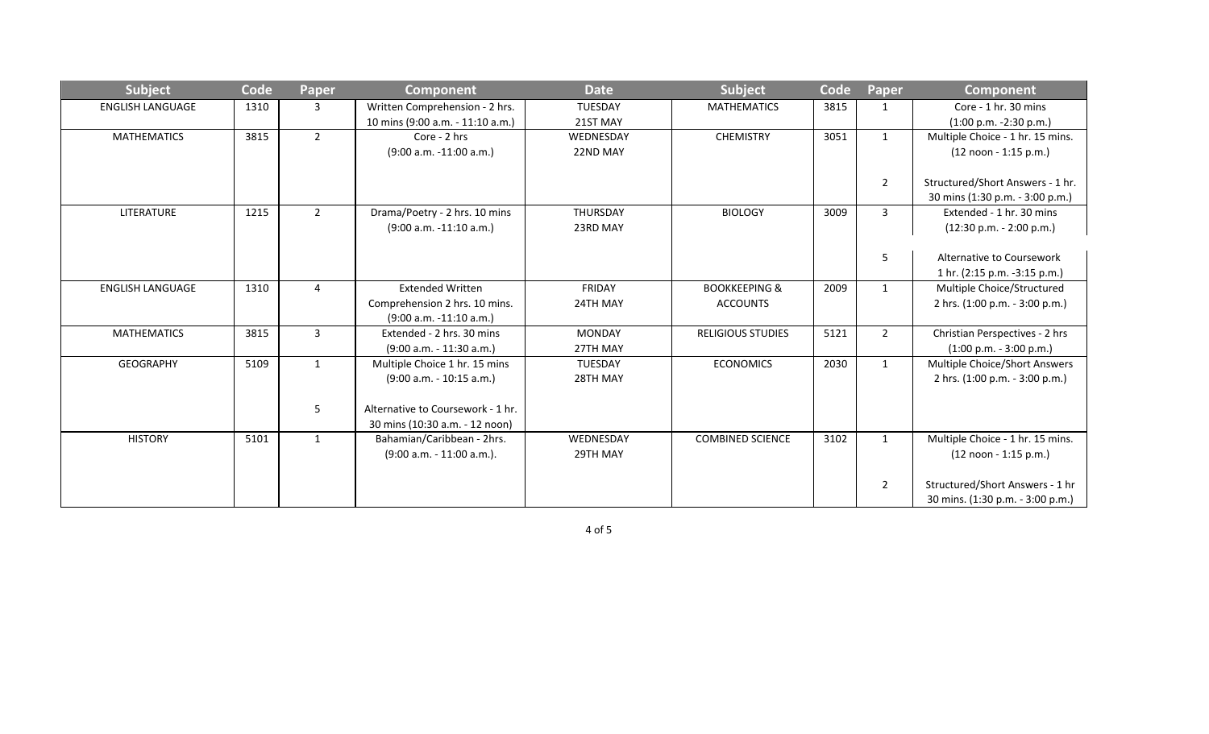| <b>Subject</b>          | Code | Paper          | <b>Component</b>                  | <b>Date</b>     | Subject                  | Code | Paper          | <b>Component</b>                        |
|-------------------------|------|----------------|-----------------------------------|-----------------|--------------------------|------|----------------|-----------------------------------------|
| <b>ENGLISH LANGUAGE</b> | 1310 | 3              | Written Comprehension - 2 hrs.    | <b>TUESDAY</b>  | <b>MATHEMATICS</b>       | 3815 |                | Core - 1 hr. 30 mins                    |
|                         |      |                | 10 mins (9:00 a.m. - 11:10 a.m.)  | 21ST MAY        |                          |      |                | $(1:00 p.m. -2:30 p.m.)$                |
| <b>MATHEMATICS</b>      | 3815 | $\overline{2}$ | Core - 2 hrs                      | WEDNESDAY       | <b>CHEMISTRY</b>         | 3051 | $\mathbf{1}$   | Multiple Choice - 1 hr. 15 mins.        |
|                         |      |                | $(9:00 a.m. -11:00 a.m.)$         | 22ND MAY        |                          |      |                | (12 noon - 1:15 p.m.)                   |
|                         |      |                |                                   |                 |                          |      |                |                                         |
|                         |      |                |                                   |                 |                          |      | $\overline{2}$ | Structured/Short Answers - 1 hr.        |
|                         |      |                |                                   |                 |                          |      |                | 30 mins (1:30 p.m. - 3:00 p.m.)         |
| LITERATURE              | 1215 | $\overline{2}$ | Drama/Poetry - 2 hrs. 10 mins     | <b>THURSDAY</b> | <b>BIOLOGY</b>           | 3009 | 3              | Extended - 1 hr. 30 mins                |
|                         |      |                | $(9:00 a.m. -11:10 a.m.)$         | 23RD MAY        |                          |      |                | $(12:30 p.m. - 2:00 p.m.)$              |
|                         |      |                |                                   |                 |                          |      |                |                                         |
|                         |      |                |                                   |                 |                          |      | 5              | Alternative to Coursework               |
|                         |      |                |                                   |                 |                          |      |                | 1 hr. (2:15 p.m. -3:15 p.m.)            |
| <b>ENGLISH LANGUAGE</b> | 1310 | 4              | <b>Extended Written</b>           | FRIDAY          | <b>BOOKKEEPING &amp;</b> | 2009 | $\mathbf{1}$   | Multiple Choice/Structured              |
|                         |      |                | Comprehension 2 hrs. 10 mins.     | 24TH MAY        | <b>ACCOUNTS</b>          |      |                | 2 hrs. (1:00 p.m. - 3:00 p.m.)          |
|                         |      |                | $(9:00 a.m. -11:10 a.m.)$         |                 |                          |      |                |                                         |
| <b>MATHEMATICS</b>      | 3815 | $\mathbf{3}$   | Extended - 2 hrs. 30 mins         | <b>MONDAY</b>   | <b>RELIGIOUS STUDIES</b> | 5121 | $\overline{2}$ | Christian Perspectives - 2 hrs          |
|                         |      |                | $(9:00 a.m. - 11:30 a.m.)$        | 27TH MAY        |                          |      |                | $(1:00 p.m. - 3:00 p.m.)$               |
| <b>GEOGRAPHY</b>        | 5109 | 1              | Multiple Choice 1 hr. 15 mins     | <b>TUESDAY</b>  | <b>ECONOMICS</b>         | 2030 | $\mathbf{1}$   | Multiple Choice/Short Answers           |
|                         |      |                | $(9:00 a.m. - 10:15 a.m.)$        | 28TH MAY        |                          |      |                | 2 hrs. (1:00 p.m. - 3:00 p.m.)          |
|                         |      |                |                                   |                 |                          |      |                |                                         |
|                         |      | 5              | Alternative to Coursework - 1 hr. |                 |                          |      |                |                                         |
|                         |      |                | 30 mins (10:30 a.m. - 12 noon)    |                 |                          |      |                |                                         |
| <b>HISTORY</b>          | 5101 | 1              | Bahamian/Caribbean - 2hrs.        | WEDNESDAY       | <b>COMBINED SCIENCE</b>  | 3102 | $\mathbf{1}$   | Multiple Choice - 1 hr. 15 mins.        |
|                         |      |                | $(9:00 a.m. - 11:00 a.m.).$       | 29TH MAY        |                          |      |                | $(12 \text{ noon} - 1:15 \text{ p.m.})$ |
|                         |      |                |                                   |                 |                          |      |                |                                         |
|                         |      |                |                                   |                 |                          |      | $\overline{2}$ | Structured/Short Answers - 1 hr         |
|                         |      |                |                                   |                 |                          |      |                | 30 mins. (1:30 p.m. - 3:00 p.m.)        |